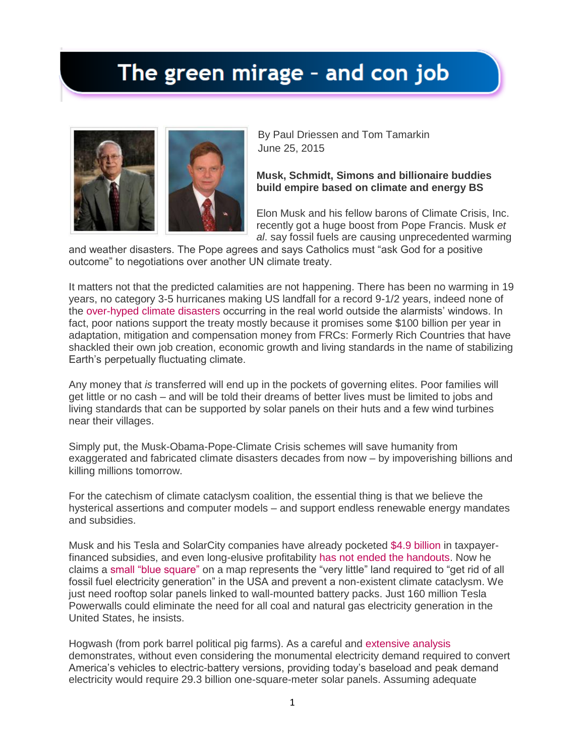## The green mirage - and con job



By Paul Driessen and Tom Tamarkin June 25, 2015

## **Musk, Schmidt, Simons and billionaire buddies build empire based on climate and energy BS**

Elon Musk and his fellow barons of Climate Crisis, Inc. recently got a huge boost from Pope Francis. Musk *et al*. say fossil fuels are causing unprecedented warming

and weather disasters. The Pope agrees and says Catholics must "ask God for a positive outcome" to negotiations over another UN climate treaty.

It matters not that the predicted calamities are not happening. There has been no warming in 19 years, no category 3-5 hurricanes making US landfall for a record 9-1/2 years, indeed none of the [over-hyped climate disasters](http://www.amazon.com/Climate-Hype-Exposed-Paul-Driessen-ebook/dp/B00VY3YIN2/ref=sr_1_1?s=books&ie=UTF8&qid=1435241763&sr=1-1&keywords=climate+hype+exposed) occurring in the real world outside the alarmists' windows. In fact, poor nations support the treaty mostly because it promises some \$100 billion per year in adaptation, mitigation and compensation money from FRCs: Formerly Rich Countries that have shackled their own job creation, economic growth and living standards in the name of stabilizing Earth's perpetually fluctuating climate.

Any money that *is* transferred will end up in the pockets of governing elites. Poor families will get little or no cash – and will be told their dreams of better lives must be limited to jobs and living standards that can be supported by solar panels on their huts and a few wind turbines near their villages.

Simply put, the Musk-Obama-Pope-Climate Crisis schemes will save humanity from exaggerated and fabricated climate disasters decades from now – by impoverishing billions and killing millions tomorrow.

For the catechism of climate cataclysm coalition, the essential thing is that we believe the hysterical assertions and computer models – and support endless renewable energy mandates and subsidies.

Musk and his Tesla and SolarCity companies have already pocketed [\\$4.9 billion](http://powerrfuture.com/elon-musks-growing-empire-is-fueled-by-4-9-billion-in-government-subsidies/) in taxpayerfinanced subsidies, and even long-elusive profitability [has not ended the handouts.](http://www.usnews.com/opinion/blogs/economic-intelligence/2013/12/30/teslas-profitability-hasnt-stopped-the-government-handouts) Now he claims a [small "blue square"](http://fuelrfuture.com/review-of-forbes-on-line-magazine-article-solar-energy-revolution-a-massive-opportunity/) on a map represents the "very little" land required to "get rid of all fossil fuel electricity generation" in the USA and prevent a non-existent climate cataclysm. We just need rooftop solar panels linked to wall-mounted battery packs. Just 160 million Tesla Powerwalls could eliminate the need for all coal and natural gas electricity generation in the United States, he insists.

Hogwash (from pork barrel political pig farms). As a careful and [extensive analysis](http://fuelrfuture.com/review-of-forbes-on-line-magazine-article-solar-energy-revolution-a-massive-opportunity/) demonstrates, without even considering the monumental electricity demand required to convert America's vehicles to electric-battery versions, providing today's baseload and peak demand electricity would require 29.3 billion one-square-meter solar panels. Assuming adequate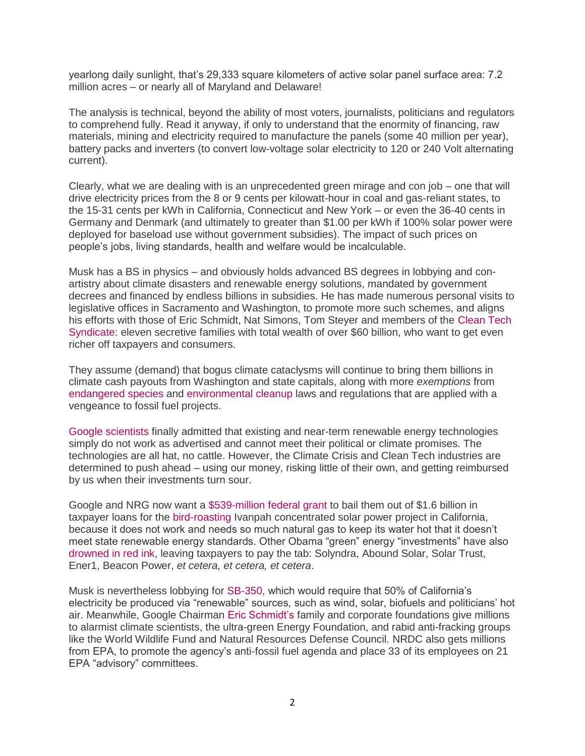yearlong daily sunlight, that's 29,333 square kilometers of active solar panel surface area: 7.2 million acres – or nearly all of Maryland and Delaware!

The analysis is technical, beyond the ability of most voters, journalists, politicians and regulators to comprehend fully. Read it anyway, if only to understand that the enormity of financing, raw materials, mining and electricity required to manufacture the panels (some 40 million per year), battery packs and inverters (to convert low-voltage solar electricity to 120 or 240 Volt alternating current).

Clearly, what we are dealing with is an unprecedented green mirage and con job – one that will drive electricity prices from the 8 or 9 cents per kilowatt-hour in coal and gas-reliant states, to the 15-31 cents per kWh in California, Connecticut and New York – or even the 36-40 cents in Germany and Denmark (and ultimately to greater than \$1.00 per kWh if 100% solar power were deployed for baseload use without government subsidies). The impact of such prices on people's jobs, living standards, health and welfare would be incalculable.

Musk has a BS in physics – and obviously holds advanced BS degrees in lobbying and conartistry about climate disasters and renewable energy solutions, mandated by government decrees and financed by endless billions in subsidies. He has made numerous personal visits to legislative offices in Sacramento and Washington, to promote more such schemes, and aligns his efforts with those of Eric Schmidt, Nat Simons, Tom Steyer and members of the [Clean Tech](http://fortune.com/2015/04/25/billionaires-versus-big-oil/)  [Syndicate:](http://fortune.com/2015/04/25/billionaires-versus-big-oil/) eleven secretive families with total wealth of over \$60 billion, who want to get even richer off taxpayers and consumers.

They assume (demand) that bogus climate cataclysms will continue to bring them billions in climate cash payouts from Washington and state capitals, along with more *exemptions* from [endangered species](https://www.masterresource.org/cuisinarts-of-the-air/wind-power-bats-double-standard/) and [environmental cleanup](http://www.washingtontimes.com/news/2015/jun/24/solar-wind-projects-could-cost-taxpayers-millions/) laws and regulations that are applied with a vengeance to fossil fuel projects.

[Google scientists](http://powerrfuture.com/what-it-would-really-take-to-reverse-climate-change/) finally admitted that existing and near-term renewable energy technologies simply do not work as advertised and cannot meet their political or climate promises. The technologies are all hat, no cattle. However, the Climate Crisis and Clean Tech industries are determined to push ahead – using our money, risking little of their own, and getting reimbursed by us when their investments turn sour.

Google and NRG now want a [\\$539-million federal grant](http://www.foxnews.com/politics/2014/11/08/world-largest-solar-plant-applying-for-federal-grant-to-pay-off-its-federal/) to bail them out of \$1.6 billion in taxpayer loans for the [bird-roasting](http://news.heartland.org/newspaper-article/2014/09/15/california-solar-towers-blamed-massive-bird-kills) Ivanpah concentrated solar power project in California, because it does not work and needs so much natural gas to keep its water hot that it doesn't meet state renewable energy standards. Other Obama "green" energy "investments" have also [drowned in red ink,](http://www.nationalreview.com/article/309936/green-jobs-gone-bust-deroy-murdock) leaving taxpayers to pay the tab: Solyndra, Abound Solar, Solar Trust, Ener1, Beacon Power, *et cetera, et cetera, et cetera*.

Musk is nevertheless lobbying for [SB-350,](http://1sun4all.com/solar/california-lawmakers-climate-change/) which would require that 50% of California's electricity be produced via "renewable" sources, such as wind, solar, biofuels and politicians' hot air. Meanwhile, Google Chairman [Eric Schmidt's](http://blog.heartland.org/2015/03/the-trouble-with-google-as-truthsayer/) family and corporate foundations give millions to alarmist climate scientists, the ultra-green Energy Foundation, and rabid anti-fracking groups like the World Wildlife Fund and Natural Resources Defense Council. NRDC also gets millions from EPA, to promote the agency's anti-fossil fuel agenda and place 33 of its employees on 21 EPA "advisory" committees.